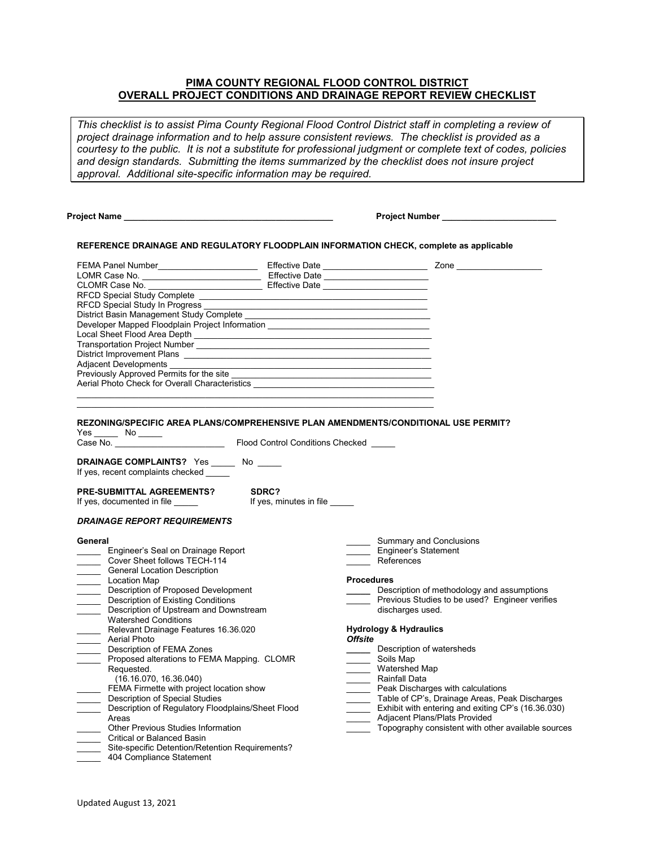# **PIMA COUNTY REGIONAL FLOOD CONTROL DISTRICT OVERALL PROJECT CONDITIONS AND DRAINAGE REPORT REVIEW CHECKLIST**

*This checklist is to assist Pima County Regional Flood Control District staff in completing a review of project drainage information and to help assure consistent reviews. The checklist is provided as a courtesy to the public. It is not a substitute for professional judgment or complete text of codes, policies and design standards. Submitting the items summarized by the checklist does not insure project approval. Additional site-specific information may be required.*

| Project Name |
|--------------|
|--------------|

 **Project Name \_\_\_\_\_\_\_\_\_\_\_\_\_\_\_\_\_\_\_\_\_\_\_\_\_\_\_\_\_\_\_\_\_\_\_\_\_\_\_\_\_\_\_\_ Project Number \_\_\_\_\_\_\_\_\_\_\_\_\_\_\_\_\_\_\_\_\_\_\_\_**

Summary and Conclusions

#### **REFERENCE DRAINAGE AND REGULATORY FLOODPLAIN INFORMATION CHECK, complete as applicable**

| <b>FEMA Panel Number</b>                        | <b>Effective Date</b> | Zone |
|-------------------------------------------------|-----------------------|------|
| LOMR Case No.                                   | Effective Date        |      |
| CLOMR Case No.                                  | <b>Effective Date</b> |      |
| <b>RFCD Special Study Complete</b>              |                       |      |
| RFCD Special Study In Progress                  |                       |      |
| District Basin Management Study Complete        |                       |      |
| Developer Mapped Floodplain Project Information |                       |      |
| Local Sheet Flood Area Depth                    |                       |      |
| Transportation Project Number                   |                       |      |
| District Improvement Plans                      |                       |      |
| <b>Adjacent Developments</b>                    |                       |      |
| Previously Approved Permits for the site        |                       |      |
| Aerial Photo Check for Overall Characteristics  |                       |      |
|                                                 |                       |      |

### **REZONING/SPECIFIC AREA PLANS/COMPREHENSIVE PLAN AMENDMENTS/CONDITIONAL USE PERMIT?**

Yes \_\_\_\_\_ No \_\_\_\_\_

Case No. \_\_\_\_\_\_\_\_\_\_\_\_\_\_\_\_\_\_\_\_\_\_\_ Flood Control Conditions Checked \_\_\_\_\_

**DRAINAGE COMPLAINTS?** Yes \_\_\_\_\_ No \_\_\_\_\_ If yes, recent complaints checked \_\_

If yes, documented in file \_\_\_\_\_

 $\overline{\phantom{a}}$  , and the set of the set of the set of the set of the set of the set of the set of the set of the set of the set of the set of the set of the set of the set of the set of the set of the set of the set of the s

**PRE-SUBMITTAL AGREEMENTS?** SDRC?<br>If yes, documented in file **in the state of the state of the state of the state of the state of the state of the state of the state of the state of the state of the state of the state of t** 

#### *DRAINAGE REPORT REQUIREMENTS*

#### **General**

| Engineer's Seal on Drainage Report                | Engineer's Statement                               |
|---------------------------------------------------|----------------------------------------------------|
| Cover Sheet follows TECH-114                      | References                                         |
| <b>General Location Description</b>               |                                                    |
| Location Map                                      | <b>Procedures</b>                                  |
| Description of Proposed Development               | Description of methodology and assumptions         |
| <b>Description of Existing Conditions</b>         | Previous Studies to be used? Engineer verifies     |
| Description of Upstream and Downstream            | discharges used.                                   |
| <b>Watershed Conditions</b>                       |                                                    |
| Relevant Drainage Features 16.36.020              | <b>Hydrology &amp; Hydraulics</b>                  |
| Aerial Photo                                      | <b>Offsite</b>                                     |
| Description of FEMA Zones                         | Description of watersheds                          |
| Proposed alterations to FEMA Mapping. CLOMR       | Soils Map                                          |
| Requested.                                        | Watershed Map                                      |
| (16.16.070, 16.36.040)                            | <b>Rainfall Data</b>                               |
| FEMA Firmette with project location show          | Peak Discharges with calculations                  |
| Description of Special Studies                    | Table of CP's, Drainage Areas, Peak Discharges     |
| Description of Regulatory Floodplains/Sheet Flood | Exhibit with entering and exiting CP's (16.36.030) |
| Areas                                             | Adjacent Plans/Plats Provided                      |
| <b>Other Previous Studies Information</b>         | Topography consistent with other available sources |
| Critical or Balanced Basin                        |                                                    |
| Site-specific Detention/Retention Requirements?   |                                                    |
| 404 Compliance Statement                          |                                                    |